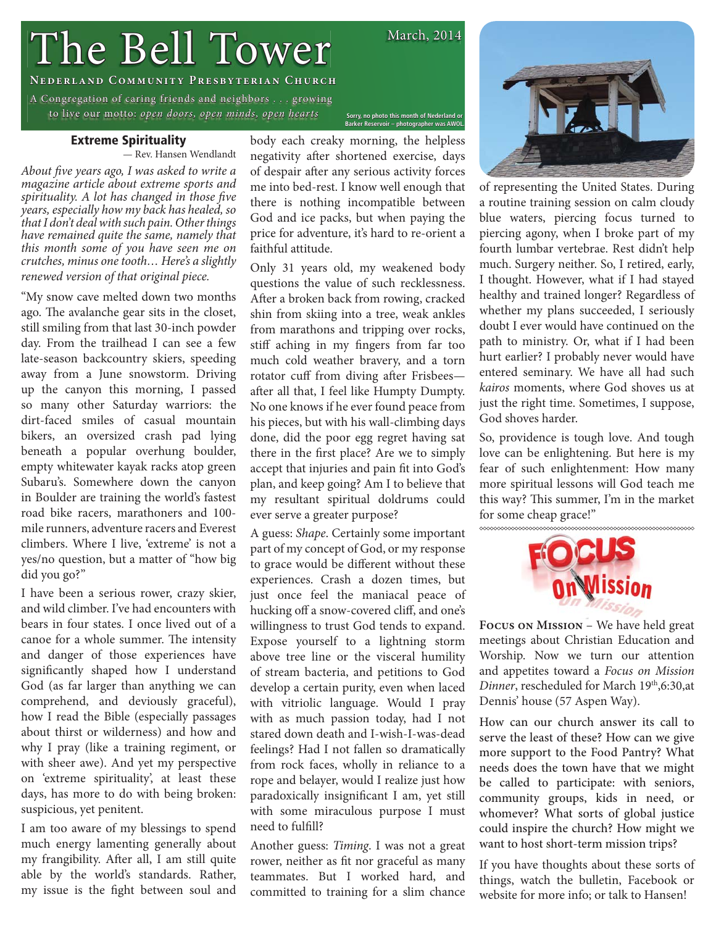# The Bell Tower

**A Congregation of caring friends and neighbors . . . growing**  $\overline{\phantom{a}}$ to live our motto: open doors, open minds, open hearts

# **Extreme Spirituality**

— Rev. Hansen Wendlandt

About five years ago, I was asked to write a magazine article about extreme sports and spirituality. A lot has changed in those five years, especially how my back has healed, so that I don't deal with such pain. Other things have remained quite the same, namely that this month some of you have seen me on crutches, minus one tooth… Here's a slightly renewed version of that original piece.

"My snow cave melted down two months ago. The avalanche gear sits in the closet, still smiling from that last 30-inch powder day. From the trailhead I can see a few late-season backcountry skiers, speeding away from a June snowstorm. Driving up the canyon this morning, I passed so many other Saturday warriors: the dirt-faced smiles of casual mountain bikers, an oversized crash pad lying beneath a popular overhung boulder, empty whitewater kayak racks atop green Subaru's. Somewhere down the canyon in Boulder are training the world's fastest road bike racers, marathoners and 100 mile runners, adventure racers and Everest climbers. Where I live, 'extreme' is not a yes/no question, but a matter of "how big did you go?"

I have been a serious rower, crazy skier, and wild climber. I've had encounters with bears in four states. I once lived out of a canoe for a whole summer. The intensity and danger of those experiences have significantly shaped how I understand God (as far larger than anything we can comprehend, and deviously graceful), how I read the Bible (especially passages about thirst or wilderness) and how and why I pray (like a training regiment, or with sheer awe). And yet my perspective on 'extreme spirituality', at least these days, has more to do with being broken: suspicious, yet penitent.

I am too aware of my blessings to spend much energy lamenting generally about my frangibility. After all, I am still quite able by the world's standards. Rather, my issue is the fight between soul and

body each creaky morning, the helpless negativity after shortened exercise, days of despair after any serious activity forces me into bed-rest. I know well enough that there is nothing incompatible between God and ice packs, but when paying the price for adventure, it's hard to re-orient a faithful attitude.

Only 31 years old, my weakened body questions the value of such recklessness. After a broken back from rowing, cracked shin from skiing into a tree, weak ankles from marathons and tripping over rocks, stiff aching in my fingers from far too much cold weather bravery, and a torn rotator cuff from diving after Frisbees after all that, I feel like Humpty Dumpty. No one knows if he ever found peace from his pieces, but with his wall-climbing days done, did the poor egg regret having sat there in the first place? Are we to simply accept that injuries and pain fit into God's plan, and keep going? Am I to believe that my resultant spiritual doldrums could ever serve a greater purpose?

A guess: Shape. Certainly some important part of my concept of God, or my response to grace would be different without these experiences. Crash a dozen times, but just once feel the maniacal peace of hucking off a snow-covered cliff, and one's willingness to trust God tends to expand. Expose yourself to a lightning storm above tree line or the visceral humility of stream bacteria, and petitions to God develop a certain purity, even when laced with vitriolic language. Would I pray with as much passion today, had I not stared down death and I-wish-I-was-dead feelings? Had I not fallen so dramatically from rock faces, wholly in reliance to a rope and belayer, would I realize just how paradoxically insignificant I am, yet still with some miraculous purpose I must need to fulfill?

Another guess: Timing. I was not a great rower, neither as fit nor graceful as many teammates. But I worked hard, and committed to training for a slim chance



of representing the United States. During a routine training session on calm cloudy blue waters, piercing focus turned to piercing agony, when I broke part of my fourth lumbar vertebrae. Rest didn't help much. Surgery neither. So, I retired, early, I thought. However, what if I had stayed healthy and trained longer? Regardless of whether my plans succeeded, I seriously doubt I ever would have continued on the path to ministry. Or, what if I had been hurt earlier? I probably never would have entered seminary. We have all had such kairos moments, where God shoves us at just the right time. Sometimes, I suppose, God shoves harder.

So, providence is tough love. And tough love can be enlightening. But here is my fear of such enlightenment: How many more spiritual lessons will God teach me this way? This summer, I'm in the market for some cheap grace!"



**Focus on Mission** – We have held great meetings about Christian Education and Worship. Now we turn our attention and appetites toward a Focus on Mission Dinner, rescheduled for March 19th, 6:30, at Dennis' house (57 Aspen Way).

How can our church answer its call to serve the least of these? How can we give more support to the Food Pantry? What needs does the town have that we might be called to participate: with seniors, community groups, kids in need, or whomever? What sorts of global justice could inspire the church? How might we want to host short-term mission trips?

If you have thoughts about these sorts of things, watch the bulletin, Facebook or website for more info; or talk to Hansen!

March, 2014

Sorry, no photo this month of Nederland or<br>Barker Reservoir – photographer was AWOL.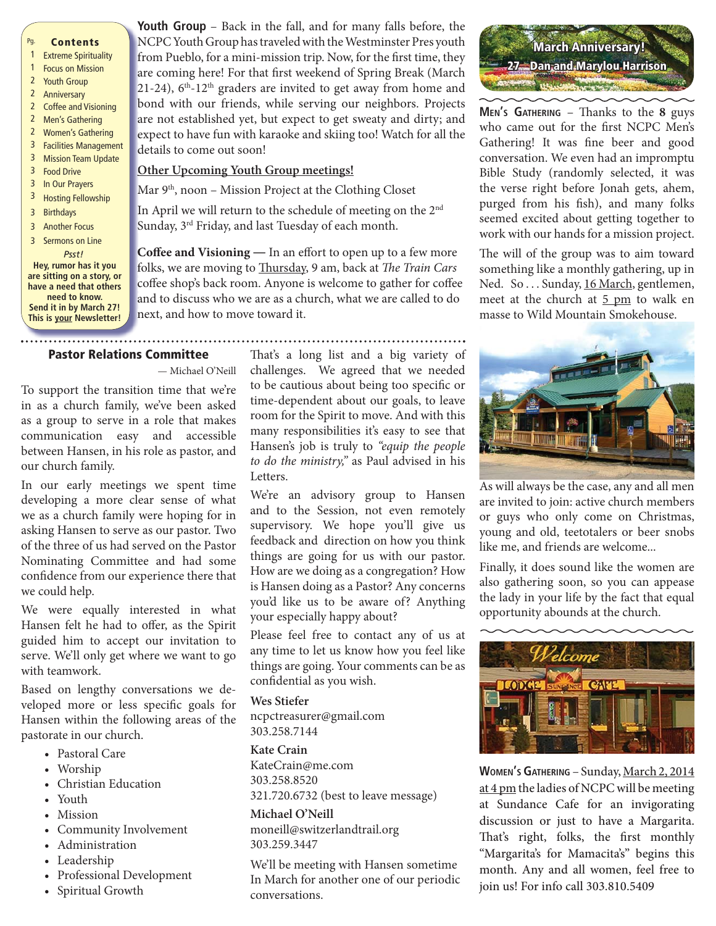### Pg. **Contents**

- 1 Extreme Spirituality
- 1 Focus on Mission
- 2 Youth Group
- 2 Anniversary
- 2 Coffee and Visioning 2 Men's Gathering
- 2 Women's Gathering
- 3 Facilities Management
- 3 Mission Team Update
- 3 Food Drive
- 3 In Our Prayers
- 3 Hosting Fellowship
- 3 Birthdays
- 3 Another Focus
- 3 Sermons on Line

*Psst!* **Hey, rumor has it you are sitting on a story, or have a need that others need to know. Send it in by March 27! This is your Newsletter!** **Youth Group** – Back in the fall, and for many falls before, the **Y** NCPC Youth Group has traveled with the Westminster Pres youth N from Pueblo, for a mini-mission trip. Now, for the first time, they are coming here! For that first weekend of Spring Break (March 21-24),  $6<sup>th</sup>$ -12<sup>th</sup> graders are invited to get away from home and bond with our friends, while serving our neighbors. Projects b are not established yet, but expect to get sweaty and dirty; and a expect to have fun with karaoke and skiing too! Watch for all the e details to come out soon! d

### **Other Upcoming Youth Group meetings! O**

Mar 9<sup>th</sup>, noon - Mission Project at the Clothing Closet M

In April we will return to the schedule of meeting on the  $2<sup>nd</sup>$ Sunday, 3rd Friday, and last Tuesday of each month. S

Coffee and Visioning - In an effort to open up to a few more folks, we are moving to **Thursday**, 9 am, back at *The Train Cars* coffee shop's back room. Anyone is welcome to gather for coffee and to discuss who we are as a church, what we are called to do next, and how to move toward it. n

# **Pastor Relations Committee**

— Michael O'Neill

To support the transition time that we're in as a church family, we've been asked as a group to serve in a role that makes communication easy and accessible between Hansen, in his role as pastor, and our church family.

In our early meetings we spent time developing a more clear sense of what we as a church family were hoping for in asking Hansen to serve as our pastor. Two of the three of us had served on the Pastor Nominating Committee and had some confidence from our experience there that we could help.

We were equally interested in what Hansen felt he had to offer, as the Spirit guided him to accept our invitation to serve. We'll only get where we want to go with teamwork.

Based on lengthy conversations we developed more or less specific goals for Hansen within the following areas of the pastorate in our church.

- Pastoral Care
- Worship
- Christian Education
- Youth
- Mission
- Community Involvement
- Administration
- Leadership
- Professional Development
- Spiritual Growth

That's a long list and a big variety of challenges. We agreed that we needed to be cautious about being too specific or time-dependent about our goals, to leave room for the Spirit to move. And with this many responsibilities it's easy to see that Hansen's job is truly to "equip the people to do the ministry," as Paul advised in his Letters.

...............................

We're an advisory group to Hansen and to the Session, not even remotely supervisory. We hope you'll give us feedback and direction on how you think things are going for us with our pastor. How are we doing as a congregation? How is Hansen doing as a Pastor? Any concerns you'd like us to be aware of? Anything your especially happy about?

Please feel free to contact any of us at any time to let us know how you feel like things are going. Your comments can be as confidential as you wish.

**Wes Stiefer** ncpctreasurer@gmail.com 303.258.7144

**Kate Crain** KateCrain@me.com 303.258.8520 321.720.6732 (best to leave message)

# Michael O'Neill

**Michael O'Neill** moneill@switzerlandtrail.org 303.259.3447

We'll be meeting with Hansen sometime In March for another one of our periodic conversations.



**MEN's GATHERING** – Thanks to the 8 guys who came out for the first NCPC Men's Gathering! It was fine beer and good conversation. We even had an impromptu Bible Study (randomly selected, it was the verse right before Jonah gets, ahem, purged from his fish), and many folks seemed excited about getting together to work with our hands for a mission project.

The will of the group was to aim toward something like a monthly gathering, up in Ned. So ... Sunday, 16 March, gentlemen, meet at the church at  $5 \text{ pm}$  to walk en masse to Wild Mountain Smokehouse.



As will always be the case, any and all men are invited to join: active church members or guys who only come on Christmas, young and old, teetotalers or beer snobs like me, and friends are welcome...

Finally, it does sound like the women are also gathering soon, so you can appease the lady in your life by the fact that equal opportunity abounds at the church.



**WOMEN'S GATHERING** – Sunday, March 2, 2014 at 4 pm the ladies of NCPC will be meeting at Sundance Cafe for an invigorating discussion or just to have a Margarita. That's right, folks, the first monthly "Margarita's for Mamacita's" begins this month. Any and all women, feel free to join us! For info call 303.810.5409